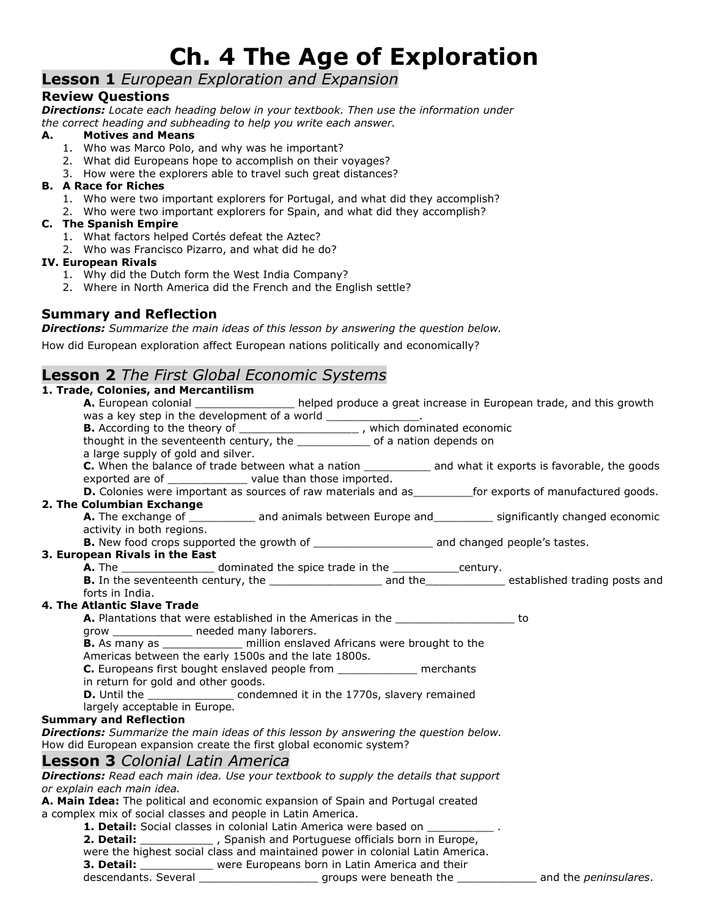# **Ch. 4 The Age of Exploration**

### **Lesson 1** *European Exploration and Expansion*

#### **Review Questions**

*Directions: Locate each heading below in your textbook. Then use the information under the correct heading and subheading to help you write each answer.*

#### **A. Motives and Means**

- 1. Who was Marco Polo, and why was he important?
	- 2. What did Europeans hope to accomplish on their voyages?
	- 3. How were the explorers able to travel such great distances?

#### **B. A Race for Riches**

- 1. Who were two important explorers for Portugal, and what did they accomplish?
- 2. Who were two important explorers for Spain, and what did they accomplish?

#### **C. The Spanish Empire**

- 1. What factors helped Cortés defeat the Aztec?
- 2. Who was Francisco Pizarro, and what did he do?

#### **IV. European Rivals**

- 1. Why did the Dutch form the West India Company?
- 2. Where in North America did the French and the English settle?

#### **Summary and Reflection**

*Directions: Summarize the main ideas of this lesson by answering the question below.*

How did European exploration affect European nations politically and economically?

### **Lesson 2** *The First Global Economic Systems*

| 1. Trade, Colonies, and Mercantilism                                                                                                       |
|--------------------------------------------------------------------------------------------------------------------------------------------|
| A. European colonial _________________ helped produce a great increase in European trade, and this growth                                  |
| was a key step in the development of a world _______________.                                                                              |
| <b>B.</b> According to the theory of ___________________________, which dominated economic                                                 |
| thought in the seventeenth century, the _______________ of a nation depends on                                                             |
| a large supply of gold and silver.                                                                                                         |
| C. When the balance of trade between what a nation ____________ and what it exports is favorable, the goods                                |
| exported are of ______________ value than those imported.                                                                                  |
| D. Colonies were important as sources of raw materials and as_error exports of manufactured goods.                                         |
| 2. The Columbian Exchange                                                                                                                  |
| A. The exchange of ____________ and animals between Europe and __________ significantly changed economic                                   |
| activity in both regions.                                                                                                                  |
|                                                                                                                                            |
| 3. European Rivals in the East                                                                                                             |
| <b>A.</b> The ____________________ dominated the spice trade in the ______________century.                                                 |
|                                                                                                                                            |
| forts in India.                                                                                                                            |
| 4. The Atlantic Slave Trade                                                                                                                |
| <b>A.</b> Plantations that were established in the Americas in the<br>to                                                                   |
| grow ______________ needed many laborers.                                                                                                  |
| <b>B.</b> As many as _______________ million enslaved Africans were brought to the<br>Americas between the early 1500s and the late 1800s. |
| C. Europeans first bought enslaved people from _______________ merchants                                                                   |
| in return for gold and other goods.                                                                                                        |
| D. Until the __________________ condemned it in the 1770s, slavery remained                                                                |
| largely acceptable in Europe.                                                                                                              |
| <b>Summary and Reflection</b>                                                                                                              |
| <b>Directions:</b> Summarize the main ideas of this lesson by answering the question below.                                                |
| How did European expansion create the first global economic system?                                                                        |
| <b>Lesson 3</b> Colonial Latin America                                                                                                     |
| <b>Directions:</b> Read each main idea. Use your textbook to supply the details that support                                               |
| or explain each main idea.                                                                                                                 |
| A. Main Idea: The political and economic expansion of Spain and Portugal created                                                           |
| a complex mix of social classes and people in Latin America.                                                                               |
| <b>1. Detail:</b> Social classes in colonial Latin America were based on                                                                   |
| 2. Detail: ______________, Spanish and Portuguese officials born in Europe,                                                                |
| were the highest social class and maintained power in colonial Latin America.                                                              |
| 3. Detail: _____________ were Europeans born in Latin America and their                                                                    |

descendants. Several \_\_\_\_\_\_\_\_\_\_\_\_\_\_\_\_\_\_ groups were beneath the \_\_\_\_\_\_\_\_\_\_\_\_ and the *peninsulares*.